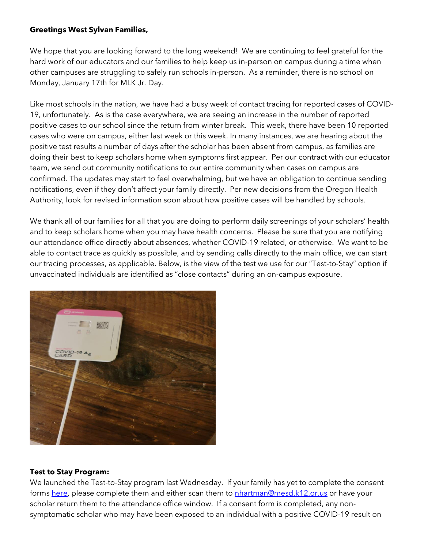#### **Greetings West Sylvan Families,**

We hope that you are looking forward to the long weekend! We are continuing to feel grateful for the hard work of our educators and our families to help keep us in-person on campus during a time when other campuses are struggling to safely run schools in-person. As a reminder, there is no school on Monday, January 17th for MLK Jr. Day.

Like most schools in the nation, we have had a busy week of contact tracing for reported cases of COVID-19, unfortunately. As is the case everywhere, we are seeing an increase in the number of reported positive cases to our school since the return from winter break. This week, there have been 10 reported cases who were on campus, either last week or this week. In many instances, we are hearing about the positive test results a number of days after the scholar has been absent from campus, as families are doing their best to keep scholars home when symptoms first appear. Per our contract with our educator team, we send out community notifications to our entire community when cases on campus are confirmed. The updates may start to feel overwhelming, but we have an obligation to continue sending notifications, even if they don't affect your family directly. Per new decisions from the Oregon Health Authority, look for revised information soon about how positive cases will be handled by schools.

We thank all of our families for all that you are doing to perform daily screenings of your scholars' health and to keep scholars home when you may have health concerns. Please be sure that you are notifying our attendance office directly about absences, whether COVID-19 related, or otherwise. We want to be able to contact trace as quickly as possible, and by sending calls directly to the main office, we can start our tracing processes, as applicable. Below, is the view of the test we use for our "Test-to-Stay" option if unvaccinated individuals are identified as "close contacts" during an on-campus exposure.



#### **Test to Stay Program:**

We launched the Test-to-Stay program last Wednesday. If your family has yet to complete the consent forms [here,](https://sharedsystems.dhsoha.state.or.us/DHSForms/Served/le3560e.pdf) please complete them and either scan them to [nhartman@mesd.k12.or.us](mailto:nhartman@mesd.k12.or.us) or have your scholar return them to the attendance office window. If a consent form is completed, any nonsymptomatic scholar who may have been exposed to an individual with a positive COVID-19 result on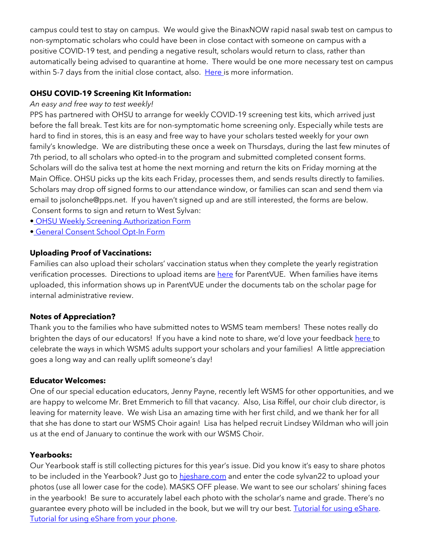campus could test to stay on campus. We would give the BinaxNOW rapid nasal swab test on campus to non-symptomatic scholars who could have been in close contact with someone on campus with a positive COVID-19 test, and pending a negative result, scholars would return to class, rather than automatically being advised to quarantine at home. There would be one more necessary test on campus within 5-7 days from the initial close contact, also. [Here i](https://docs.google.com/document/d/1RiifxD8ZyotgtTy4q0zU6VYEbklFNPNaDJapztiE6EI/edit?usp=sharing)s more information.

# **OHSU COVID-19 Screening Kit Information:**

### *An easy and free way to test weekly!*

PPS has partnered with OHSU to arrange for weekly COVID-19 screening test kits, which arrived just before the fall break. Test kits are for non-symptomatic home screening only. Especially while tests are hard to find in stores, this is an easy and free way to have your scholars tested weekly for your own family's knowledge. We are distributing these once a week on Thursdays, during the last few minutes of 7th period, to all scholars who opted-in to the program and submitted completed consent forms. Scholars will do the saliva test at home the next morning and return the kits on Friday morning at the Main Office. OHSU picks up the kits each Friday, processes them, and sends results directly to families. Scholars may drop off signed forms to our attendance window, or families can scan and send them via email to jsolonche@pps.net. If you haven't signed up and are still interested, the forms are below. Consent forms to sign and return to West Sylvan:

- [•](https://drive.google.com/file/d/1WKfLwknOXIYGfjiVTURKB7wvlQW8DAhR/view?usp=sharing) [OHSU Weekly Screening Authorization Form](https://drive.google.com/file/d/1WKfLwknOXIYGfjiVTURKB7wvlQW8DAhR/view?usp=sharing)
- [•](https://drive.google.com/file/d/1JELJW3M6_gp013Dp_Z7QDpvKmsqC5G-S/view?usp=sharing) [General Consent School Opt-In Form](https://drive.google.com/file/d/1JELJW3M6_gp013Dp_Z7QDpvKmsqC5G-S/view?usp=sharing)

# **Uploading Proof of Vaccinations:**

Families can also upload their scholars' vaccination status when they complete the yearly registration verification processes. Directions to upload items ar[e here](https://docs.google.com/document/d/1AxHhVVEjAqJxV1Vuh9PnfwkZHcp-Tde_x6iFOOEy58Y/edit) for ParentVUE. When families have items uploaded, this information shows up in ParentVUE under the documents tab on the scholar page for internal administrative review.

# **Notes of Appreciation?**

Thank you to the families who have submitted notes to WSMS team members! These notes really do brighten the days of our educators! If you have a kind note to share, we'd love your feedback [here t](https://forms.gle/3TsJKYDfcfbLhiKu7)o celebrate the ways in which WSMS adults support your scholars and your families! A little appreciation goes a long way and can really uplift someone's day!

### **Educator Welcomes:**

One of our special education educators, Jenny Payne, recently left WSMS for other opportunities, and we are happy to welcome Mr. Bret Emmerich to fill that vacancy. Also, Lisa Riffel, our choir club director, is leaving for maternity leave. We wish Lisa an amazing time with her first child, and we thank her for all that she has done to start our WSMS Choir again! Lisa has helped recruit Lindsey Wildman who will join us at the end of January to continue the work with our WSMS Choir.

### **Yearbooks:**

Our Yearbook staff is still collecting pictures for this year's issue. Did you know it's easy to share photos to be included in the Yearbook? Just go to hieshare.com and enter the code sylvan22 to upload your photos (use all lower case for the code). MASKS OFF please. We want to see our scholars' shining faces in the yearbook! Be sure to accurately label each photo with the scholar's name and grade. There's no guarantee every photo will be included in the book, but we will try our best. [Tutorial for using eShare.](https://herffjones.wistia.com/medias/h1e7m2ythz) [Tutorial for using eShare from your phone.](https://herffjones.wistia.com/medias/62ap3qbbp3)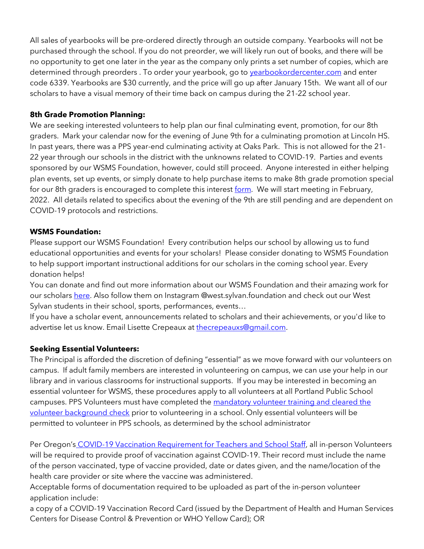All sales of yearbooks will be pre-ordered directly through an outside company. Yearbooks will not be purchased through the school. If you do not preorder, we will likely run out of books, and there will be no opportunity to get one later in the year as the company only prints a set number of copies, which are determined through preorders . To order your yearbook, go to vearbookordercenter.com and enter code 6339. Yearbooks are \$30 currently, and the price will go up after January 15th. We want all of our scholars to have a visual memory of their time back on campus during the 21-22 school year.

## **8th Grade Promotion Planning:**

We are seeking interested volunteers to help plan our final culminating event, promotion, for our 8th graders. Mark your calendar now for the evening of June 9th for a culminating promotion at Lincoln HS. In past years, there was a PPS year-end culminating activity at Oaks Park. This is not allowed for the 21- 22 year through our schools in the district with the unknowns related to COVID-19. Parties and events sponsored by our WSMS Foundation, however, could still proceed. Anyone interested in either helping plan events, set up events, or simply donate to help purchase items to make 8th grade promotion special for our 8th graders is encouraged to complete this interest [form.](https://forms.gle/Gi3NaW3dNDFK8fNK8) We will start meeting in February, 2022. All details related to specifics about the evening of the 9th are still pending and are dependent on COVID-19 protocols and restrictions.

## **WSMS Foundation:**

Please support our WSMS Foundation! Every contribution helps our school by allowing us to fund educational opportunities and events for your scholars! Please consider donating to WSMS Foundation to help support important instructional additions for our scholars in the coming school year. Every donation helps!

You can donate and find out more information about our WSMS Foundation and their amazing work for our scholar[s here.](https://www.westsylvanfoundation.com/) Also follow them on Instagram @west.sylvan.foundation and check out our West Sylvan students in their school, sports, performances, events…

If you have a scholar event, announcements related to scholars and their achievements, or you'd like to advertise let us know. Email Lisette Crepeaux at [thecrepeauxs@gmail.com.](mailto:thecrepeauxs@gmail.com)

# **Seeking Essential Volunteers:**

The Principal is afforded the discretion of defining "essential" as we move forward with our volunteers on campus. If adult family members are interested in volunteering on campus, we can use your help in our library and in various classrooms for instructional supports. If you may be interested in becoming an essential volunteer for WSMS, these procedures apply to all volunteers at all Portland Public School campuses. PPS Volunteers must have completed the mandatory volunteer training and cleared the [volunteer background check](https://www.pps.net/domain/66) prior to volunteering in a school. Only essential volunteers will be permitted to volunteer in PPS schools, as determined by the school administrator

Per Oregon's [COVID-19 Vaccination Requirement for Teachers and School Staff,](https://secure.sos.state.or.us/oard/viewSingleRule.action?ruleVrsnRsn=280616) all in-person Volunteers will be required to provide proof of vaccination against COVID-19. Their record must include the name of the person vaccinated, type of vaccine provided, date or dates given, and the name/location of the health care provider or site where the vaccine was administered.

Acceptable forms of documentation required to be uploaded as part of the in-person volunteer application include:

a copy of a COVID-19 Vaccination Record Card (issued by the Department of Health and Human Services Centers for Disease Control & Prevention or WHO Yellow Card); OR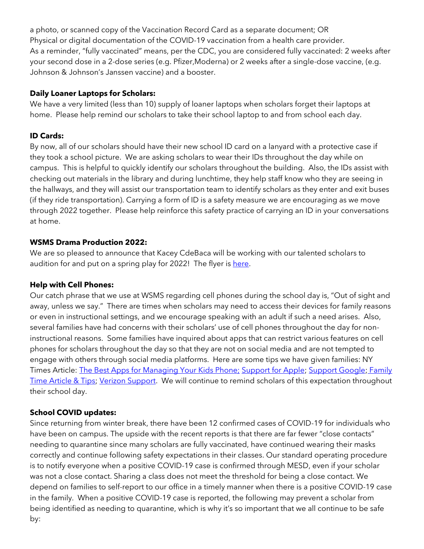a photo, or scanned copy of the Vaccination Record Card as a separate document; OR Physical or digital documentation of the COVID-19 vaccination from a health care provider. As a reminder, "fully vaccinated" means, per the CDC, you are considered fully vaccinated: 2 weeks after your second dose in a 2-dose series (e.g. Pfizer,Moderna) or 2 weeks after a single-dose vaccine, (e.g. Johnson & Johnson's Janssen vaccine) and a booster.

## **Daily Loaner Laptops for Scholars:**

We have a very limited (less than 10) supply of loaner laptops when scholars forget their laptops at home. Please help remind our scholars to take their school laptop to and from school each day.

## **ID Cards:**

By now, all of our scholars should have their new school ID card on a lanyard with a protective case if they took a school picture. We are asking scholars to wear their IDs throughout the day while on campus. This is helpful to quickly identify our scholars throughout the building. Also, the IDs assist with checking out materials in the library and during lunchtime, they help staff know who they are seeing in the hallways, and they will assist our transportation team to identify scholars as they enter and exit buses (if they ride transportation). Carrying a form of ID is a safety measure we are encouraging as we move through 2022 together. Please help reinforce this safety practice of carrying an ID in your conversations at home.

## **WSMS Drama Production 2022:**

We are so pleased to announce that Kacey CdeBaca will be working with our talented scholars to audition for and put on a spring play for 2022! The flyer is [here.](https://drive.google.com/file/d/1IaZuyQpo8qyHRZaSCV1EA3nsbkW7OiVS/view?usp=sharing)

# **Help with Cell Phones:**

Our catch phrase that we use at WSMS regarding cell phones during the school day is, "Out of sight and away, unless we say." There are times when scholars may need to access their devices for family reasons or even in instructional settings, and we encourage speaking with an adult if such a need arises. Also, several families have had concerns with their scholars' use of cell phones throughout the day for noninstructional reasons. Some families have inquired about apps that can restrict various features on cell phones for scholars throughout the day so that they are not on social media and are not tempted to engage with others through social media platforms. Here are some tips we have given families: NY Times Article: [The Best Apps for Managing Your Kids Phone;](https://www.nytimes.com/wirecutter/reviews/best-apps-to-manage-your-kids-phone/) [Support for Apple;](https://support.apple.com/guide/iphone/set-up-parental-controls-iph00ba7d632/ios) [Support Google;](https://support.google.com/families/answer/7103340?hl=en) [Family](https://familytime.io/)  [Time Article & Tips;](https://familytime.io/) [Verizon Support.](https://www.verizon.com/support/verizon-smart-family-restrictions-video/) We will continue to remind scholars of this expectation throughout their school day.

# **School COVID updates:**

Since returning from winter break, there have been 12 confirmed cases of COVID-19 for individuals who have been on campus. The upside with the recent reports is that there are far fewer "close contacts" needing to quarantine since many scholars are fully vaccinated, have continued wearing their masks correctly and continue following safety expectations in their classes. Our standard operating procedure is to notify everyone when a positive COVID-19 case is confirmed through MESD, even if your scholar was not a close contact. Sharing a class does not meet the threshold for being a close contact. We depend on families to self-report to our office in a timely manner when there is a positive COVID-19 case in the family. When a positive COVID-19 case is reported, the following may prevent a scholar from being identified as needing to quarantine, which is why it's so important that we all continue to be safe by: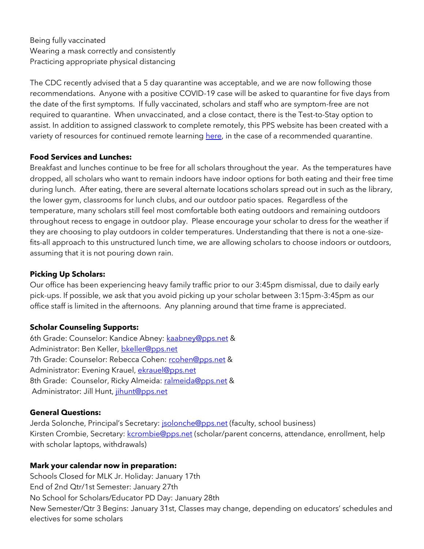Being fully vaccinated Wearing a mask correctly and consistently Practicing appropriate physical distancing

The CDC recently advised that a 5 day quarantine was acceptable, and we are now following those recommendations. Anyone with a positive COVID-19 case will be asked to quarantine for five days from the date of the first symptoms. If fully vaccinated, scholars and staff who are symptom-free are not required to quarantine. When unvaccinated, and a close contact, there is the Test-to-Stay option to assist. In addition to assigned classwork to complete remotely, this PPS website has been created with a variety of resources for continued remote learning [here,](https://sites.google.com/pps.net/ppsquarantinelessons/home?authuser=0) in the case of a recommended quarantine.

#### **Food Services and Lunches:**

Breakfast and lunches continue to be free for all scholars throughout the year. As the temperatures have dropped, all scholars who want to remain indoors have indoor options for both eating and their free time during lunch. After eating, there are several alternate locations scholars spread out in such as the library, the lower gym, classrooms for lunch clubs, and our outdoor patio spaces. Regardless of the temperature, many scholars still feel most comfortable both eating outdoors and remaining outdoors throughout recess to engage in outdoor play. Please encourage your scholar to dress for the weather if they are choosing to play outdoors in colder temperatures. Understanding that there is not a one-sizefits-all approach to this unstructured lunch time, we are allowing scholars to choose indoors or outdoors, assuming that it is not pouring down rain.

### **Picking Up Scholars:**

Our office has been experiencing heavy family traffic prior to our 3:45pm dismissal, due to daily early pick-ups. If possible, we ask that you avoid picking up your scholar between 3:15pm-3:45pm as our office staff is limited in the afternoons. Any planning around that time frame is appreciated.

### **Scholar Counseling Supports:**

6th Grade: Counselor: Kandice Abney: [kaabney@pps.net](mailto:kaabney@pps.net) & Administrator: Ben Keller, [bkeller@pps.net](mailto:bkeller@pps.net) 7th Grade: Counselor: Rebecca Cohen: [rcohen@pps.net](mailto:rcohen@pps.net) & Administrator: Evening Krauel, [ekrauel@pps.net](mailto:ekrauel@pps.net) 8th Grade: Counselor, Ricky Almeida: [ralmeida@pps.net](mailto:ralmeida@pps.net) & Administrator: Jill Hunt, [jihunt@pps.net](mailto:jihunt@pps.net)

### **General Questions:**

Jerda Solonche, Principal's Secretary: **[jsolonche@pps.net](mailto:jsolonche@pps.net)** (faculty, school business) Kirsten Crombie, Secretary: [kcrombie@pps.net](mailto:kcrombie@pps.net) (scholar/parent concerns, attendance, enrollment, help with scholar laptops, withdrawals)

### **Mark your calendar now in preparation:**

Schools Closed for MLK Jr. Holiday: January 17th End of 2nd Qtr/1st Semester: January 27th No School for Scholars/Educator PD Day: January 28th New Semester/Qtr 3 Begins: January 31st, Classes may change, depending on educators' schedules and electives for some scholars